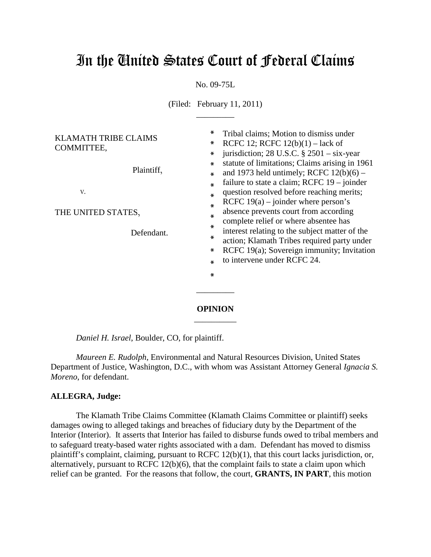# In the United States Court of Federal Claims

No. 09-75L

(Filed: February 11, 2011)  $\overline{\phantom{a}}$  , where  $\overline{\phantom{a}}$ 

| <b>KLAMATH TRIBE CLAIMS</b> |            | $\ast$  | Tribal claims; Motion to dismiss under                                                                                                                                     |
|-----------------------------|------------|---------|----------------------------------------------------------------------------------------------------------------------------------------------------------------------------|
| COMMITTEE,                  |            | $\ast$  | RCFC 12; RCFC $12(b)(1) - \text{lack of}$<br>jurisdiction; 28 U.S.C. $\S$ 2501 – six-year<br>statute of limitations; Claims arising in 1961                                |
|                             |            | $\ast$  |                                                                                                                                                                            |
|                             | Plaintiff, | $\ast$  |                                                                                                                                                                            |
|                             |            | ⋇       | and 1973 held untimely; RCFC $12(b)(6)$ –                                                                                                                                  |
|                             |            | ∗       | failure to state a claim; RCFC $19 - joint$                                                                                                                                |
| V.                          |            | $\ast$  | question resolved before reaching merits;                                                                                                                                  |
|                             |            | $\ast$  | RCFC $19(a)$ – joinder where person's                                                                                                                                      |
| THE UNITED STATES,          |            | ∗       | absence prevents court from according                                                                                                                                      |
|                             |            | $\ast$  | complete relief or where absentee has                                                                                                                                      |
| Defendant.                  |            | $\ast$  | interest relating to the subject matter of the<br>action; Klamath Tribes required party under<br>RCFC 19(a); Sovereign immunity; Invitation<br>to intervene under RCFC 24. |
|                             |            |         |                                                                                                                                                                            |
|                             |            | $\ast$  |                                                                                                                                                                            |
|                             |            | $\ast$  |                                                                                                                                                                            |
|                             |            | $\ast$  |                                                                                                                                                                            |
|                             |            |         |                                                                                                                                                                            |
|                             |            | OPINION |                                                                                                                                                                            |

*Daniel H. Israel*, Boulder, CO, for plaintiff.

*Maureen E. Rudolph*, Environmental and Natural Resources Division, United States Department of Justice, Washington, D.C., with whom was Assistant Attorney General *Ignacia S. Moreno*, for defendant.

\_\_\_\_\_\_\_\_\_\_

#### **ALLEGRA, Judge:**

The Klamath Tribe Claims Committee (Klamath Claims Committee or plaintiff) seeks damages owing to alleged takings and breaches of fiduciary duty by the Department of the Interior (Interior). It asserts that Interior has failed to disburse funds owed to tribal members and to safeguard treaty-based water rights associated with a dam. Defendant has moved to dismiss plaintiff's complaint, claiming, pursuant to RCFC 12(b)(1), that this court lacks jurisdiction, or, alternatively, pursuant to RCFC 12(b)(6), that the complaint fails to state a claim upon which relief can be granted. For the reasons that follow, the court, **GRANTS, IN PART**, this motion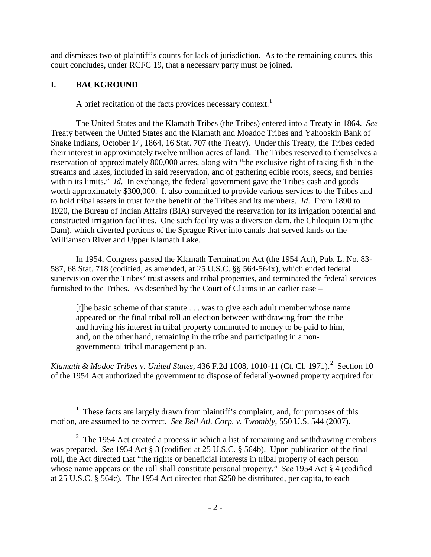and dismisses two of plaintiff's counts for lack of jurisdiction. As to the remaining counts, this court concludes, under RCFC 19, that a necessary party must be joined.

## **I. BACKGROUND**

A brief recitation of the facts provides necessary context.<sup>[1](#page-1-0)</sup>

The United States and the Klamath Tribes (the Tribes) entered into a Treaty in 1864. *See*  Treaty between the United States and the Klamath and Moadoc Tribes and Yahooskin Bank of Snake Indians, October 14, 1864, 16 Stat. 707 (the Treaty). Under this Treaty, the Tribes ceded their interest in approximately twelve million acres of land. The Tribes reserved to themselves a reservation of approximately 800,000 acres, along with "the exclusive right of taking fish in the streams and lakes, included in said reservation, and of gathering edible roots, seeds, and berries within its limits." *Id*. In exchange, the federal government gave the Tribes cash and goods worth approximately \$300,000. It also committed to provide various services to the Tribes and to hold tribal assets in trust for the benefit of the Tribes and its members. *Id*. From 1890 to 1920, the Bureau of Indian Affairs (BIA) surveyed the reservation for its irrigation potential and constructed irrigation facilities. One such facility was a diversion dam, the Chiloquin Dam (the Dam), which diverted portions of the Sprague River into canals that served lands on the Williamson River and Upper Klamath Lake.

In 1954, Congress passed the Klamath Termination Act (the 1954 Act), Pub. L. No. 83- 587, 68 Stat. 718 (codified, as amended, at 25 U.S.C. §§ 564-564x), which ended federal supervision over the Tribes' trust assets and tribal properties, and terminated the federal services furnished to the Tribes. As described by the Court of Claims in an earlier case –

[t]he basic scheme of that statute . . . was to give each adult member whose name appeared on the final tribal roll an election between withdrawing from the tribe and having his interest in tribal property commuted to money to be paid to him, and, on the other hand, remaining in the tribe and participating in a nongovernmental tribal management plan.

Klamath & Modoc Tribes *v*. United States, 436 F.[2](#page-1-1)d 1008, 1010-11 (Ct. Cl. 1971).<sup>2</sup> Section 10 of the 1954 Act authorized the government to dispose of federally-owned property acquired for

<span id="page-1-0"></span><sup>&</sup>lt;u>1</u>  $\frac{1}{1}$  These facts are largely drawn from plaintiff's complaint, and, for purposes of this motion, are assumed to be correct. *See Bell Atl. Corp. v. Twombly*, 550 U.S. 544 (2007).

<span id="page-1-1"></span> $2$  The 1954 Act created a process in which a list of remaining and withdrawing members was prepared. *See* 1954 Act § 3 (codified at 25 U.S.C. § 564b). Upon publication of the final roll, the Act directed that "the rights or beneficial interests in tribal property of each person whose name appears on the roll shall constitute personal property." *See* 1954 Act § 4 (codified at 25 U.S.C. § 564c). The 1954 Act directed that \$250 be distributed, per capita, to each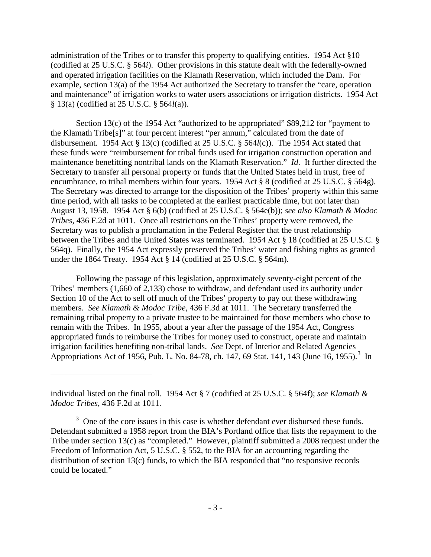administration of the Tribes or to transfer this property to qualifying entities. 1954 Act §10 (codified at 25 U.S.C. § 564*i*). Other provisions in this statute dealt with the federally-owned and operated irrigation facilities on the Klamath Reservation, which included the Dam. For example, section 13(a) of the 1954 Act authorized the Secretary to transfer the "care, operation and maintenance" of irrigation works to water users associations or irrigation districts. 1954 Act § 13(a) (codified at 25 U.S.C. § 564*l*(a)).

Section 13(c) of the 1954 Act "authorized to be appropriated" \$89,212 for "payment to the Klamath Tribe[s]" at four percent interest "per annum," calculated from the date of disbursement. 1954 Act § 13(c) (codified at 25 U.S.C. § 564*l*(c)). The 1954 Act stated that these funds were "reimbursement for tribal funds used for irrigation construction operation and maintenance benefitting nontribal lands on the Klamath Reservation." *Id*. It further directed the Secretary to transfer all personal property or funds that the United States held in trust, free of encumbrance, to tribal members within four years. 1954 Act § 8 (codified at 25 U.S.C. § 564g). The Secretary was directed to arrange for the disposition of the Tribes' property within this same time period, with all tasks to be completed at the earliest practicable time, but not later than August 13, 1958. 1954 Act § 6(b) (codified at 25 U.S.C. § 564e(b)); *see also Klamath & Modoc Tribes*, 436 F.2d at 1011. Once all restrictions on the Tribes' property were removed, the Secretary was to publish a proclamation in the Federal Register that the trust relationship between the Tribes and the United States was terminated. 1954 Act § 18 (codified at 25 U.S.C. § 564q). Finally, the 1954 Act expressly preserved the Tribes' water and fishing rights as granted under the 1864 Treaty. 1954 Act § 14 (codified at 25 U.S.C. § 564m).

Following the passage of this legislation, approximately seventy-eight percent of the Tribes' members (1,660 of 2,133) chose to withdraw, and defendant used its authority under Section 10 of the Act to sell off much of the Tribes' property to pay out these withdrawing members. *See Klamath & Modoc Tribe*, 436 F.3d at 1011. The Secretary transferred the remaining tribal property to a private trustee to be maintained for those members who chose to remain with the Tribes. In 1955, about a year after the passage of the 1954 Act, Congress appropriated funds to reimburse the Tribes for money used to construct, operate and maintain irrigation facilities benefiting non-tribal lands. *See* Dept. of Interior and Related Agencies Appropriations Act of 1956, Pub. L. No. 84-78, ch. 147, 69 Stat. 141, 14[3](#page-2-0) (June 16, 1955).<sup>3</sup> In

 $\overline{a}$ 

individual listed on the final roll. 1954 Act § 7 (codified at 25 U.S.C. § 564f); *see Klamath & Modoc Tribes*, 436 F.2d at 1011.

<span id="page-2-0"></span> $3$  One of the core issues in this case is whether defendant ever disbursed these funds. Defendant submitted a 1958 report from the BIA's Portland office that lists the repayment to the Tribe under section 13(c) as "completed." However, plaintiff submitted a 2008 request under the Freedom of Information Act, 5 U.S.C. § 552, to the BIA for an accounting regarding the distribution of section 13(c) funds, to which the BIA responded that "no responsive records could be located."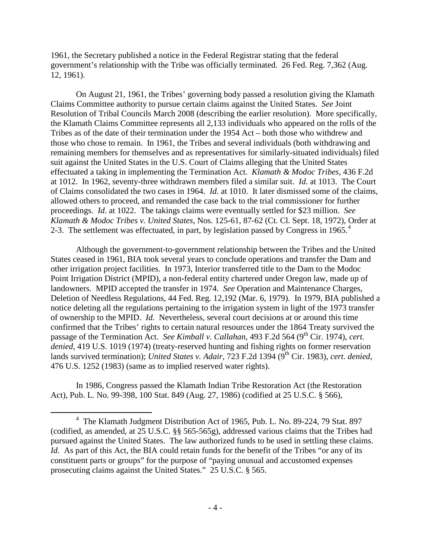1961, the Secretary published a notice in the Federal Registrar stating that the federal government's relationship with the Tribe was officially terminated. 26 Fed. Reg. 7,362 (Aug. 12, 1961).

On August 21, 1961, the Tribes' governing body passed a resolution giving the Klamath Claims Committee authority to pursue certain claims against the United States. *See* Joint Resolution of Tribal Councils March 2008 (describing the earlier resolution). More specifically, the Klamath Claims Committee represents all 2,133 individuals who appeared on the rolls of the Tribes as of the date of their termination under the 1954 Act – both those who withdrew and those who chose to remain. In 1961, the Tribes and several individuals (both withdrawing and remaining members for themselves and as representatives for similarly-situated individuals) filed suit against the United States in the U.S. Court of Claims alleging that the United States effectuated a taking in implementing the Termination Act. *Klamath & Modoc Tribes*, 436 F.2d at 1012. In 1962, seventy-three withdrawn members filed a similar suit. *Id*. at 1013. The Court of Claims consolidated the two cases in 1964. *Id*. at 1010. It later dismissed some of the claims, allowed others to proceed, and remanded the case back to the trial commissioner for further proceedings. *Id*. at 1022. The takings claims were eventually settled for \$23 million. *See Klamath & Modoc Tribes v. United States*, Nos. 125-61, 87-62 (Ct. Cl. Sept. 18, 1972), Order at 2-3. The settlement was effectuated, in part, by legislation passed by Congress in 1965. $4$ 

Although the government-to-government relationship between the Tribes and the United States ceased in 1961, BIA took several years to conclude operations and transfer the Dam and other irrigation project facilities. In 1973, Interior transferred title to the Dam to the Modoc Point Irrigation District (MPID), a non-federal entity chartered under Oregon law, made up of landowners. MPID accepted the transfer in 1974. *See* Operation and Maintenance Charges, Deletion of Needless Regulations, 44 Fed. Reg. 12,192 (Mar. 6, 1979). In 1979, BIA published a notice deleting all the regulations pertaining to the irrigation system in light of the 1973 transfer of ownership to the MPID. *Id.* Nevertheless, several court decisions at or around this time confirmed that the Tribes' rights to certain natural resources under the 1864 Treaty survived the passage of the Termination Act. *See Kimball v. Callahan*, 493 F.2d 564 (9<sup>th</sup> Cir. 1974), *cert. denied*, 419 U.S. 1019 (1974) (treaty-reserved hunting and fishing rights on former reservation lands survived termination); *United States v. Adair*, 723 F.2d 1394 (9<sup>th</sup> Cir. 1983), *cert. denied*, 476 U.S. 1252 (1983) (same as to implied reserved water rights).

In 1986, Congress passed the Klamath Indian Tribe Restoration Act (the Restoration Act), Pub. L. No. 99-398, 100 Stat. 849 (Aug. 27, 1986) (codified at 25 U.S.C. § 566),

<span id="page-3-0"></span> $\overline{4}$  The Klamath Judgment Distribution Act of 1965, Pub. L. No. 89-224, 79 Stat. 897 (codified, as amended, at 25 U.S.C. §§ 565-565g), addressed various claims that the Tribes had pursued against the United States. The law authorized funds to be used in settling these claims. *Id.* As part of this Act, the BIA could retain funds for the benefit of the Tribes "or any of its constituent parts or groups" for the purpose of "paying unusual and accustomed expenses prosecuting claims against the United States." 25 U.S.C. § 565.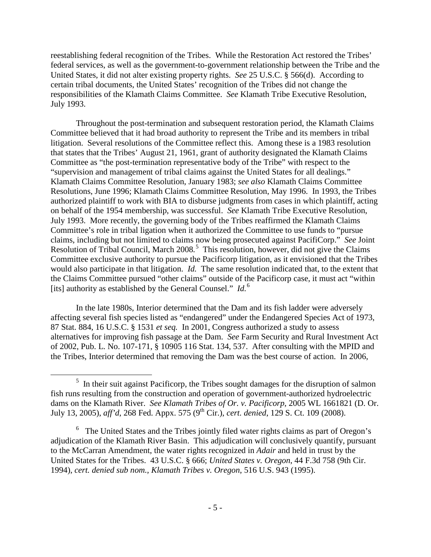reestablishing federal recognition of the Tribes. While the Restoration Act restored the Tribes' federal services, as well as the government-to-government relationship between the Tribe and the United States, it did not alter existing property rights. *See* 25 U.S.C. § 566(d). According to certain tribal documents, the United States' recognition of the Tribes did not change the responsibilities of the Klamath Claims Committee. *See* Klamath Tribe Executive Resolution, July 1993.

Throughout the post-termination and subsequent restoration period, the Klamath Claims Committee believed that it had broad authority to represent the Tribe and its members in tribal litigation. Several resolutions of the Committee reflect this. Among these is a 1983 resolution that states that the Tribes' August 21, 1961, grant of authority designated the Klamath Claims Committee as "the post-termination representative body of the Tribe" with respect to the "supervision and management of tribal claims against the United States for all dealings." Klamath Claims Committee Resolution, January 1983; *see also* Klamath Claims Committee Resolutions, June 1996; Klamath Claims Committee Resolution, May 1996. In 1993, the Tribes authorized plaintiff to work with BIA to disburse judgments from cases in which plaintiff, acting on behalf of the 1954 membership, was successful. *See* Klamath Tribe Executive Resolution, July 1993. More recently, the governing body of the Tribes reaffirmed the Klamath Claims Committee's role in tribal ligation when it authorized the Committee to use funds to "pursue claims, including but not limited to claims now being prosecuted against PacifiCorp." *See* Joint Resolution of Tribal Council, March 2008*.* [5](#page-4-0) This resolution, however, did not give the Claims Committee exclusive authority to pursue the Pacificorp litigation, as it envisioned that the Tribes would also participate in that litigation. *Id.* The same resolution indicated that, to the extent that the Claims Committee pursued "other claims" outside of the Pacificorp case, it must act "within [its] authority as established by the General Counsel." *Id.*[6](#page-4-1)

In the late 1980s, Interior determined that the Dam and its fish ladder were adversely affecting several fish species listed as "endangered" under the Endangered Species Act of 1973, 87 Stat. 884, 16 U.S.C. § 1531 *et seq.* In 2001, Congress authorized a study to assess alternatives for improving fish passage at the Dam. *See* Farm Security and Rural Investment Act of 2002, Pub. L. No. 107-171, § 10905 116 Stat. 134, 537. After consulting with the MPID and the Tribes, Interior determined that removing the Dam was the best course of action. In 2006,

<span id="page-4-0"></span> $\frac{1}{5}$  $\frac{5}{10}$  In their suit against Pacificorp, the Tribes sought damages for the disruption of salmon fish runs resulting from the construction and operation of government-authorized hydroelectric dams on the Klamath River. *See Klamath Tribes of Or. v. Pacificorp*, 2005 WL 1661821 (D. Or. July 13, 2005), *aff'd*, 268 Fed. Appx. 575 (9<sup>th</sup> Cir.), *cert. denied*, 129 S. Ct. 109 (2008).

<span id="page-4-1"></span><sup>&</sup>lt;sup>6</sup> The United States and the Tribes jointly filed water rights claims as part of Oregon's adjudication of the Klamath River Basin. This adjudication will conclusively quantify, pursuant to the McCarran Amendment, the water rights recognized in *Adair* and held in trust by the United States for the Tribes. 43 U.S.C. § 666; *United States v. Oregon*, 44 F.3d 758 (9th Cir. 1994), *cert. denied sub nom., Klamath Tribes v. Oregon*, 516 U.S. 943 (1995).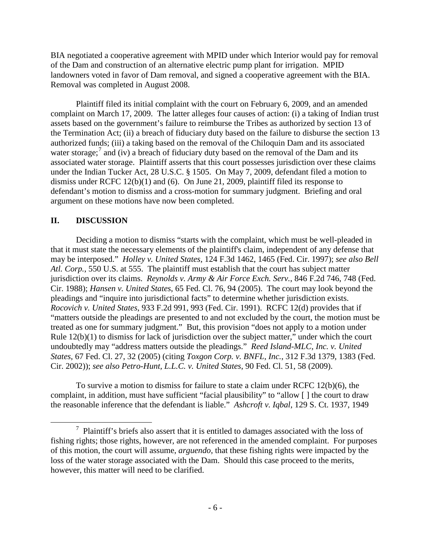BIA negotiated a cooperative agreement with MPID under which Interior would pay for removal of the Dam and construction of an alternative electric pump plant for irrigation. MPID landowners voted in favor of Dam removal, and signed a cooperative agreement with the BIA. Removal was completed in August 2008.

Plaintiff filed its initial complaint with the court on February 6, 2009, and an amended complaint on March 17, 2009. The latter alleges four causes of action: (i) a taking of Indian trust assets based on the government's failure to reimburse the Tribes as authorized by section 13 of the Termination Act; (ii) a breach of fiduciary duty based on the failure to disburse the section 13 authorized funds; (iii) a taking based on the removal of the Chiloquin Dam and its associated water storage;<sup>[7](#page-5-0)</sup> and (iv) a breach of fiduciary duty based on the removal of the Dam and its associated water storage. Plaintiff asserts that this court possesses jurisdiction over these claims under the Indian Tucker Act, 28 U.S.C. § 1505. On May 7, 2009, defendant filed a motion to dismiss under RCFC 12(b)(1) and (6). On June 21, 2009, plaintiff filed its response to defendant's motion to dismiss and a cross-motion for summary judgment. Briefing and oral argument on these motions have now been completed.

#### **II. DISCUSSION**

Deciding a motion to dismiss "starts with the complaint, which must be well-pleaded in that it must state the necessary elements of the plaintiff's claim, independent of any defense that may be interposed." *Holley v. United States*, 124 F.3d 1462, 1465 (Fed. Cir. 1997); *see also Bell Atl. Corp.*, 550 U.S. at 555. The plaintiff must establish that the court has subject matter jurisdiction over its claims. *Reynolds v. Army & Air Force Exch. Serv.*, 846 F.2d 746, 748 (Fed. Cir. 1988); *Hansen v. United States*, 65 Fed. Cl. 76, 94 (2005). The court may look beyond the pleadings and "inquire into jurisdictional facts" to determine whether jurisdiction exists. *Rocovich v. United States*, 933 F.2d 991, 993 (Fed. Cir. 1991). RCFC 12(d) provides that if "matters outside the pleadings are presented to and not excluded by the court, the motion must be treated as one for summary judgment." But, this provision "does not apply to a motion under Rule 12(b)(1) to dismiss for lack of jurisdiction over the subject matter," under which the court undoubtedly may "address matters outside the pleadings." *Reed Island-MLC, Inc. v. United States*, 67 Fed. Cl. 27, 32 (2005) (citing *Toxgon Corp. v. BNFL, Inc.*, 312 F.3d 1379, 1383 (Fed. Cir. 2002)); *see also Petro-Hunt, L.L.C. v. United States*, 90 Fed. Cl. 51, 58 (2009).

To survive a motion to dismiss for failure to state a claim under RCFC 12(b)(6), the complaint, in addition, must have sufficient "facial plausibility" to "allow [ ] the court to draw the reasonable inference that the defendant is liable." *Ashcroft v. Iqbal*, 129 S. Ct. 1937, 1949

<span id="page-5-0"></span> $\overline{7}$  $\frac{7}{1}$  Plaintiff's briefs also assert that it is entitled to damages associated with the loss of fishing rights; those rights, however, are not referenced in the amended complaint. For purposes of this motion, the court will assume, *arguendo*, that these fishing rights were impacted by the loss of the water storage associated with the Dam. Should this case proceed to the merits, however, this matter will need to be clarified.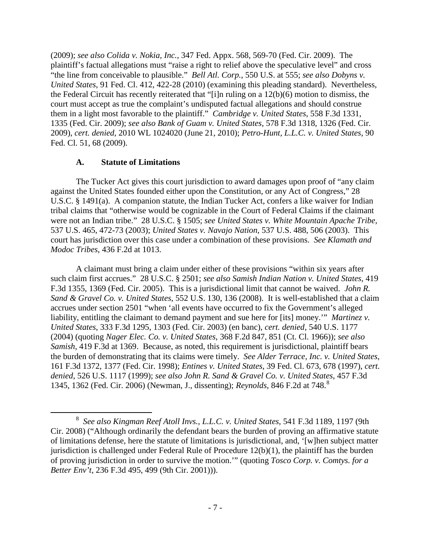(2009); *see also Colida v. Nokia, Inc.*, 347 Fed. Appx. 568, 569-70 (Fed. Cir. 2009). The plaintiff's factual allegations must "raise a right to relief above the speculative level" and cross "the line from conceivable to plausible." *Bell Atl. Corp.*, 550 U.S. at 555; *see also Dobyns v. United States*, 91 Fed. Cl. 412, 422-28 (2010) (examining this pleading standard). Nevertheless, the Federal Circuit has recently reiterated that "[i]n ruling on a 12(b)(6) motion to dismiss, the court must accept as true the complaint's undisputed factual allegations and should construe them in a light most favorable to the plaintiff." *Cambridge v. United States*, 558 F.3d 1331, 1335 (Fed. Cir. 2009); *see also Bank of Guam v. United States*, 578 F.3d 1318, 1326 (Fed. Cir. 2009), *cert. denied*, 2010 WL 1024020 (June 21, 2010); *Petro-Hunt, L.L.C. v. United States*, 90 Fed. Cl. 51, 68 (2009).

#### **A. Statute of Limitations**

The Tucker Act gives this court jurisdiction to award damages upon proof of "any claim against the United States founded either upon the Constitution, or any Act of Congress," 28 U.S.C. § 1491(a). A companion statute, the Indian Tucker Act, confers a like waiver for Indian tribal claims that "otherwise would be cognizable in the Court of Federal Claims if the claimant were not an Indian tribe." 28 U.S.C. § 1505; *see United States v. White Mountain Apache Tribe*, 537 U.S. 465, 472-73 (2003); *United States v. Navajo Nation*, 537 U.S. 488, 506 (2003). This court has jurisdiction over this case under a combination of these provisions. *See Klamath and Modoc Tribes*, 436 F.2d at 1013.

A claimant must bring a claim under either of these provisions "within six years after such claim first accrues." 28 U.S.C. § 2501; *see also Samish Indian Nation v. United States*, 419 F.3d 1355, 1369 (Fed. Cir. 2005). This is a jurisdictional limit that cannot be waived. *John R. Sand & Gravel Co. v. United States*, 552 U.S. 130, 136 (2008). It is well-established that a claim accrues under section 2501 "when 'all events have occurred to fix the Government's alleged liability, entitling the claimant to demand payment and sue here for [its] money." *Martinez v. United States*, 333 F.3d 1295, 1303 (Fed. Cir. 2003) (en banc), *cert. denied*, 540 U.S. 1177 (2004) (quoting *Nager Elec. Co. v. United States*, 368 F.2d 847, 851 (Ct. Cl. 1966)); *see also Samish*, 419 F.3d at 1369. Because, as noted, this requirement is jurisdictional, plaintiff bears the burden of demonstrating that its claims were timely. *See Alder Terrace, Inc. v. United States*, 161 F.3d 1372, 1377 (Fed. Cir. 1998); *Entines v. United States*, 39 Fed. Cl. 673, 678 (1997), *cert. denied*, 526 U.S. 1117 (1999); *see also John R. Sand & Gravel Co. v. United States*, 457 F.3d 1345, 1362 (Fed. Cir. 2006) (Newman, J., dissenting); *Reynolds*, 846 F.2d at 748.[8](#page-6-0)

<span id="page-6-0"></span> <sup>8</sup> *See also Kingman Reef Atoll Invs., L.L.C. v. United States*, 541 F.3d 1189, 1197 (9th Cir. 2008) ("Although ordinarily the defendant bears the burden of proving an affirmative statute of limitations defense, here the statute of limitations is jurisdictional, and, '[w]hen subject matter jurisdiction is challenged under Federal Rule of Procedure  $12(b)(1)$ , the plaintiff has the burden of proving jurisdiction in order to survive the motion.'" (quoting *Tosco Corp. v. Comtys. for a Better Env't*, 236 F.3d 495, 499 (9th Cir. 2001))).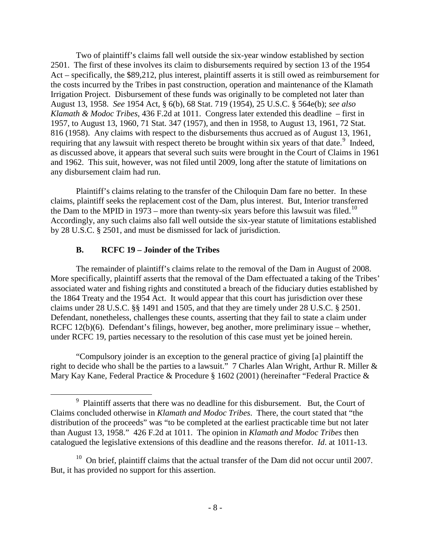Two of plaintiff's claims fall well outside the six-year window established by section 2501. The first of these involves its claim to disbursements required by section 13 of the 1954 Act – specifically, the \$89,212, plus interest, plaintiff asserts it is still owed as reimbursement for the costs incurred by the Tribes in past construction, operation and maintenance of the Klamath Irrigation Project. Disbursement of these funds was originally to be completed not later than August 13, 1958. *See* 1954 Act, § 6(b), 68 Stat. 719 (1954), 25 U.S.C. § 564e(b); *see also Klamath & Modoc Tribes*, 436 F.2d at 1011. Congress later extended this deadline – first in 1957, to August 13, 1960, 71 Stat. 347 (1957), and then in 1958, to August 13, 1961, 72 Stat. 816 (1958). Any claims with respect to the disbursements thus accrued as of August 13, 1961, requiring that any lawsuit with respect thereto be brought within six years of that date.<sup>[9](#page-7-0)</sup> Indeed, as discussed above, it appears that several such suits were brought in the Court of Claims in 1961 and 1962. This suit, however, was not filed until 2009, long after the statute of limitations on any disbursement claim had run.

Plaintiff's claims relating to the transfer of the Chiloquin Dam fare no better. In these claims, plaintiff seeks the replacement cost of the Dam, plus interest. But, Interior transferred the Dam to the MPID in 1973 – more than twenty-six years before this lawsuit was filed.<sup>10</sup> Accordingly, any such claims also fall well outside the six-year statute of limitations established by 28 U.S.C. § 2501, and must be dismissed for lack of jurisdiction.

#### **B. RCFC 19 – Joinder of the Tribes**

The remainder of plaintiff's claims relate to the removal of the Dam in August of 2008. More specifically, plaintiff asserts that the removal of the Dam effectuated a taking of the Tribes' associated water and fishing rights and constituted a breach of the fiduciary duties established by the 1864 Treaty and the 1954 Act. It would appear that this court has jurisdiction over these claims under 28 U.S.C. §§ 1491 and 1505, and that they are timely under 28 U.S.C. § 2501. Defendant, nonetheless, challenges these counts, asserting that they fail to state a claim under RCFC 12(b)(6). Defendant's filings, however, beg another, more preliminary issue – whether, under RCFC 19, parties necessary to the resolution of this case must yet be joined herein.

"Compulsory joinder is an exception to the general practice of giving [a] plaintiff the right to decide who shall be the parties to a lawsuit." 7 Charles Alan Wright, Arthur R. Miller & Mary Kay Kane, Federal Practice & Procedure § 1602 (2001) (hereinafter "Federal Practice &

<span id="page-7-0"></span> $\frac{1}{9}$ <sup>9</sup> Plaintiff asserts that there was no deadline for this disbursement. But, the Court of Claims concluded otherwise in *Klamath and Modoc Tribes*. There, the court stated that "the distribution of the proceeds" was "to be completed at the earliest practicable time but not later than August 13, 1958." 426 F.2d at 1011. The opinion in *Klamath and Modoc Tribes* then catalogued the legislative extensions of this deadline and the reasons therefor. *Id*. at 1011-13.

<span id="page-7-1"></span> $10$  On brief, plaintiff claims that the actual transfer of the Dam did not occur until 2007. But, it has provided no support for this assertion.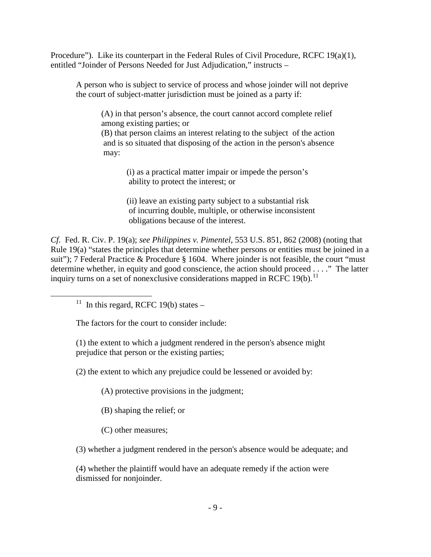Procedure"). Like its counterpart in the Federal Rules of Civil Procedure, RCFC 19(a)(1), entitled "Joinder of Persons Needed for Just Adjudication," instructs –

A person who is subject to service of process and whose joinder will not deprive the court of subject-matter jurisdiction must be joined as a party if:

(A) in that person's absence, the court cannot accord complete relief among existing parties; or

(B) that person claims an interest relating to the subject of the action and is so situated that disposing of the action in the person's absence may:

> (i) as a practical matter impair or impede the person's ability to protect the interest; or

(ii) leave an existing party subject to a substantial risk of incurring double, multiple, or otherwise inconsistent obligations because of the interest.

*Cf*. Fed. R. Civ. P. 19(a); *see Philippines v. Pimentel*, 553 U.S. 851, 862 (2008) (noting that Rule 19(a) "states the principles that determine whether persons or entities must be joined in a suit"); 7 Federal Practice & Procedure § 1604. Where joinder is not feasible, the court "must" determine whether, in equity and good conscience, the action should proceed . . . ." The latter inquiry turns on a set of nonexclusive considerations mapped in RCFC 19(b).<sup>[11](#page-8-0)</sup>

<span id="page-8-0"></span><sup>11</sup> In this regard, RCFC 19(b) states –

The factors for the court to consider include:

(1) the extent to which a judgment rendered in the person's absence might prejudice that person or the existing parties;

(2) the extent to which any prejudice could be lessened or avoided by:

(A) protective provisions in the judgment;

(B) shaping the relief; or

(C) other measures;

(3) whether a judgment rendered in the person's absence would be adequate; and

(4) whether the plaintiff would have an adequate remedy if the action were dismissed for nonjoinder.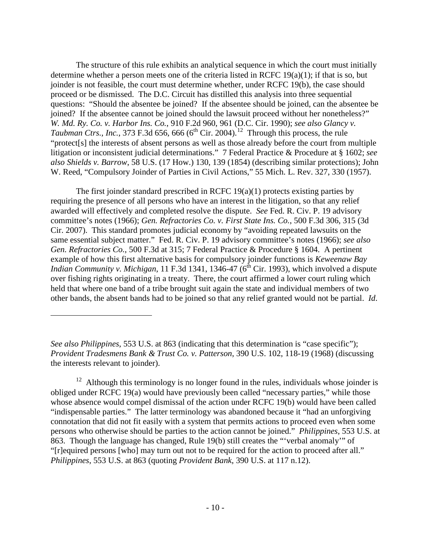The structure of this rule exhibits an analytical sequence in which the court must initially determine whether a person meets one of the criteria listed in RCFC 19(a)(1); if that is so, but joinder is not feasible, the court must determine whether, under RCFC 19(b), the case should proceed or be dismissed. The D.C. Circuit has distilled this analysis into three sequential questions: "Should the absentee be joined? If the absentee should be joined, can the absentee be joined? If the absentee cannot be joined should the lawsuit proceed without her nonetheless?" *W. Md. Ry. Co. v. Harbor Ins. Co.*, 910 F.2d 960, 961 (D.C. Cir. 1990); *see also Glancy v. Taubman Ctrs., Inc.,* 373 F.3d 656, 666 ( $6<sup>th</sup>$  Cir. 2004).<sup>[12](#page-9-0)</sup> Through this process, the rule "protect[s] the interests of absent persons as well as those already before the court from multiple litigation or inconsistent judicial determinations." 7 Federal Practice & Procedure at § 1602; *see also Shields v. Barrow*, 58 U.S. (17 How.) 130, 139 (1854) (describing similar protections); John W. Reed, "Compulsory Joinder of Parties in Civil Actions," 55 Mich. L. Rev. 327, 330 (1957).

The first joinder standard prescribed in RCFC  $19(a)(1)$  protects existing parties by requiring the presence of all persons who have an interest in the litigation, so that any relief awarded will effectively and completed resolve the dispute. *See* Fed. R. Civ. P. 19 advisory committee's notes (1966); *Gen. Refractories Co. v. First State Ins. Co.*, 500 F.3d 306, 315 (3d Cir. 2007). This standard promotes judicial economy by "avoiding repeated lawsuits on the same essential subject matter." Fed. R. Civ. P. 19 advisory committee's notes (1966); *see also Gen. Refractories Co.*, 500 F.3d at 315; 7 Federal Practice & Procedure § 1604. A pertinent example of how this first alternative basis for compulsory joinder functions is *Keweenaw Bay Indian Community v. Michigan*, 11 F.3d 1341, 1346-47 ( $6<sup>th</sup>$  Cir. 1993), which involved a dispute over fishing rights originating in a treaty. There, the court affirmed a lower court ruling which held that where one band of a tribe brought suit again the state and individual members of two other bands, the absent bands had to be joined so that any relief granted would not be partial. *Id*.

 $\overline{a}$ 

*See also Philippines*, 553 U.S. at 863 (indicating that this determination is "case specific"); *Provident Tradesmens Bank & Trust Co. v. Patterson*, 390 U.S. 102, 118-19 (1968) (discussing the interests relevant to joinder).

<span id="page-9-0"></span> $12$  Although this terminology is no longer found in the rules, individuals whose joinder is obliged under RCFC 19(a) would have previously been called "necessary parties," while those whose absence would compel dismissal of the action under RCFC 19(b) would have been called "indispensable parties." The latter terminology was abandoned because it "had an unforgiving connotation that did not fit easily with a system that permits actions to proceed even when some persons who otherwise should be parties to the action cannot be joined." *Philippines*, 553 U.S. at 863. Though the language has changed, Rule 19(b) still creates the "'verbal anomaly'" of "[r]equired persons [who] may turn out not to be required for the action to proceed after all." *Philippines*, 553 U.S. at 863 (quoting *Provident Bank*, 390 U.S. at 117 n.12).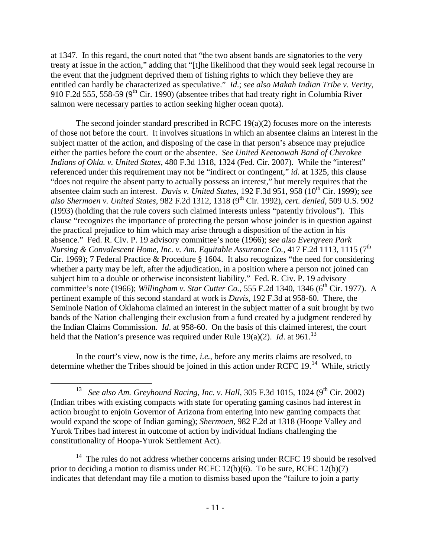at 1347. In this regard, the court noted that "the two absent bands are signatories to the very treaty at issue in the action," adding that "[t]he likelihood that they would seek legal recourse in the event that the judgment deprived them of fishing rights to which they believe they are entitled can hardly be characterized as speculative." *Id*.; *see also Makah Indian Tribe v. Verity*, 910 F.2d 555, 558-59 ( $9<sup>th</sup>$  Cir. 1990) (absentee tribes that had treaty right in Columbia River salmon were necessary parties to action seeking higher ocean quota).

The second joinder standard prescribed in RCFC 19(a)(2) focuses more on the interests of those not before the court. It involves situations in which an absentee claims an interest in the subject matter of the action, and disposing of the case in that person's absence may prejudice either the parties before the court or the absentee. *See United Keetoowah Band of Cherokee Indians of Okla. v. United States*, 480 F.3d 1318, 1324 (Fed. Cir. 2007). While the "interest" referenced under this requirement may not be "indirect or contingent," *id*. at 1325, this clause "does not require the absent party to actually possess an interest," but merely requires that the absentee claim such an interest. *Davis v. United States*, 192 F.3d 951, 958 (10<sup>th</sup> Cir. 1999); *see also Shermoen v. United States*, 982 F.2d 1312, 1318 (9th Cir. 1992), *cert. denied*, 509 U.S. 902 (1993) (holding that the rule covers such claimed interests unless "patently frivolous"). This clause "recognizes the importance of protecting the person whose joinder is in question against the practical prejudice to him which may arise through a disposition of the action in his absence." Fed. R. Civ. P. 19 advisory committee's note (1966); *see also Evergreen Park Nursing & Convalescent Home, Inc. v. Am. Equitable Assurance Co., 417 F.2d 1113, 1115 (7<sup>th</sup>* Cir. 1969); 7 Federal Practice & Procedure § 1604. It also recognizes "the need for considering whether a party may be left, after the adjudication, in a position where a person not joined can subject him to a double or otherwise inconsistent liability." Fed. R. Civ. P. 19 advisory committee's note (1966); *Willingham v. Star Cutter Co.*, 555 F.2d 1340, 1346 (6<sup>th</sup> Cir. 1977). A pertinent example of this second standard at work is *Davis*, 192 F.3d at 958-60. There, the Seminole Nation of Oklahoma claimed an interest in the subject matter of a suit brought by two bands of the Nation challenging their exclusion from a fund created by a judgment rendered by the Indian Claims Commission. *Id*. at 958-60. On the basis of this claimed interest, the court held that the Nation's presence was required under Rule  $19(a)(2)$ . *Id.* at  $961$ .<sup>13</sup>

In the court's view, now is the time, *i.e.*, before any merits claims are resolved, to determine whether the Tribes should be joined in this action under RCFC  $19$ .<sup>[14](#page-10-1)</sup> While, strictly

<span id="page-10-0"></span><sup>&</sup>lt;sup>13</sup> *See also Am. Greyhound Racing, Inc. v. Hall, 305 F.3d 1015, 1024 (9<sup>th</sup> Cir. 2002)* (Indian tribes with existing compacts with state for operating gaming casinos had interest in action brought to enjoin Governor of Arizona from entering into new gaming compacts that would expand the scope of Indian gaming); *Shermoen*, 982 F.2d at 1318 (Hoope Valley and Yurok Tribes had interest in outcome of action by individual Indians challenging the constitutionality of Hoopa-Yurok Settlement Act).

<span id="page-10-1"></span><sup>&</sup>lt;sup>14</sup> The rules do not address whether concerns arising under RCFC 19 should be resolved prior to deciding a motion to dismiss under RCFC 12(b)(6). To be sure, RCFC 12(b)(7) indicates that defendant may file a motion to dismiss based upon the "failure to join a party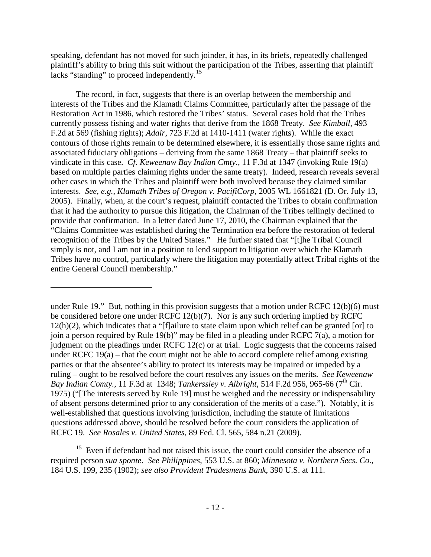speaking, defendant has not moved for such joinder, it has, in its briefs, repeatedly challenged plaintiff's ability to bring this suit without the participation of the Tribes, asserting that plaintiff lacks "standing" to proceed independently.<sup>15</sup>

The record, in fact, suggests that there is an overlap between the membership and interests of the Tribes and the Klamath Claims Committee, particularly after the passage of the Restoration Act in 1986, which restored the Tribes' status. Several cases hold that the Tribes currently possess fishing and water rights that derive from the 1868 Treaty. *See Kimball*, 493 F.2d at 569 (fishing rights); *Adair*, 723 F.2d at 1410-1411 (water rights). While the exact contours of those rights remain to be determined elsewhere, it is essentially those same rights and associated fiduciary obligations – deriving from the same 1868 Treaty – that plaintiff seeks to vindicate in this case. *Cf. Keweenaw Bay Indian Cmty.*, 11 F.3d at 1347 (invoking Rule 19(a) based on multiple parties claiming rights under the same treaty). Indeed, research reveals several other cases in which the Tribes and plaintiff were both involved because they claimed similar interests. *See*, *e.g.*, *Klamath Tribes of Oregon v. PacifiCorp*, 2005 WL 1661821 (D. Or. July 13, 2005). Finally, when, at the court's request, plaintiff contacted the Tribes to obtain confirmation that it had the authority to pursue this litigation, the Chairman of the Tribes tellingly declined to provide that confirmation. In a letter dated June 17, 2010, the Chairman explained that the "Claims Committee was established during the Termination era before the restoration of federal recognition of the Tribes by the United States." He further stated that "[t]he Tribal Council simply is not, and I am not in a position to lend support to litigation over which the Klamath Tribes have no control, particularly where the litigation may potentially affect Tribal rights of the entire General Council membership."

under Rule 19." But, nothing in this provision suggests that a motion under RCFC 12(b)(6) must be considered before one under RCFC 12(b)(7). Nor is any such ordering implied by RCFC 12(h)(2), which indicates that a "[f]ailure to state claim upon which relief can be granted [or] to join a person required by Rule 19(b)" may be filed in a pleading under RCFC 7(a), a motion for judgment on the pleadings under RCFC 12(c) or at trial. Logic suggests that the concerns raised under RCFC 19(a) – that the court might not be able to accord complete relief among existing parties or that the absentee's ability to protect its interests may be impaired or impeded by a ruling – ought to be resolved before the court resolves any issues on the merits. *See Keweenaw Bay Indian Comty.*, 11 F.3d at 1348; *Tankerssley v. Albright*, 514 F.2d 956, 965-66 (7<sup>th</sup> Cir. 1975) ("[The interests served by Rule 19] must be weighed and the necessity or indispensability of absent persons determined prior to any consideration of the merits of a case."). Notably, it is well-established that questions involving jurisdiction, including the statute of limitations questions addressed above, should be resolved before the court considers the application of RCFC 19. *See Rosales v. United States*, 89 Fed. Cl. 565, 584 n.21 (2009).

 $\overline{a}$ 

<span id="page-11-0"></span><sup>15</sup> Even if defendant had not raised this issue, the court could consider the absence of a required person *sua sponte*. *See Philippines*, 553 U.S. at 860; *Minnesota v. Northern Secs. Co.*, 184 U.S. 199, 235 (1902); *see also Provident Tradesmens Bank*, 390 U.S. at 111.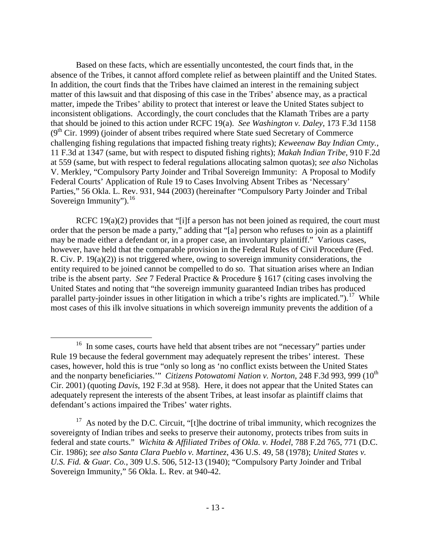Based on these facts, which are essentially uncontested, the court finds that, in the absence of the Tribes, it cannot afford complete relief as between plaintiff and the United States. In addition, the court finds that the Tribes have claimed an interest in the remaining subject matter of this lawsuit and that disposing of this case in the Tribes' absence may, as a practical matter, impede the Tribes' ability to protect that interest or leave the United States subject to inconsistent obligations. Accordingly, the court concludes that the Klamath Tribes are a party that should be joined to this action under RCFC 19(a). *See Washington v. Daley*, 173 F.3d 1158  $(9<sup>th</sup> Cir. 1999)$  (joinder of absent tribes required where State sued Secretary of Commerce challenging fishing regulations that impacted fishing treaty rights); *Keweenaw Bay Indian Cmty.*, 11 F.3d at 1347 (same, but with respect to disputed fishing rights); *Makah Indian Tribe*, 910 F.2d at 559 (same, but with respect to federal regulations allocating salmon quotas); *see also* Nicholas V. Merkley, "Compulsory Party Joinder and Tribal Sovereign Immunity: A Proposal to Modify Federal Courts' Application of Rule 19 to Cases Involving Absent Tribes as 'Necessary' Parties," 56 Okla. L. Rev. 931, 944 (2003) (hereinafter "Compulsory Party Joinder and Tribal Sovereign Immunity").<sup>[16](#page-12-0)</sup>

RCFC 19(a)(2) provides that "[i]f a person has not been joined as required, the court must order that the person be made a party," adding that "[a] person who refuses to join as a plaintiff may be made either a defendant or, in a proper case, an involuntary plaintiff." Various cases, however, have held that the comparable provision in the Federal Rules of Civil Procedure (Fed. R. Civ. P. 19(a)(2)) is not triggered where, owing to sovereign immunity considerations, the entity required to be joined cannot be compelled to do so. That situation arises where an Indian tribe is the absent party. *See* 7 Federal Practice & Procedure § 1617 (citing cases involving the United States and noting that "the sovereign immunity guaranteed Indian tribes has produced parallel party-joinder issues in other litigation in which a tribe's rights are implicated.").<sup>[17](#page-12-1)</sup> While most cases of this ilk involve situations in which sovereign immunity prevents the addition of a

<span id="page-12-0"></span><sup>&</sup>lt;sup>16</sup> In some cases, courts have held that absent tribes are not "necessary" parties under Rule 19 because the federal government may adequately represent the tribes' interest. These cases, however, hold this is true "only so long as 'no conflict exists between the United States and the nonparty beneficiaries.'" *Citizens Potowatomi Nation v. Norton*, 248 F.3d 993, 999 (10<sup>th</sup>) Cir. 2001) (quoting *Davis*, 192 F.3d at 958). Here, it does not appear that the United States can adequately represent the interests of the absent Tribes, at least insofar as plaintiff claims that defendant's actions impaired the Tribes' water rights.

<span id="page-12-1"></span><sup>&</sup>lt;sup>17</sup> As noted by the D.C. Circuit, "[t]he doctrine of tribal immunity, which recognizes the sovereignty of Indian tribes and seeks to preserve their autonomy, protects tribes from suits in federal and state courts." *Wichita & Affiliated Tribes of Okla. v. Hodel*, 788 F.2d 765, 771 (D.C. Cir. 1986); *see also Santa Clara Pueblo v. Martinez*, 436 U.S. 49, 58 (1978); *United States v. U.S. Fid. & Guar. Co.*, 309 U.S. 506, 512-13 (1940); "Compulsory Party Joinder and Tribal Sovereign Immunity," 56 Okla. L. Rev. at 940-42.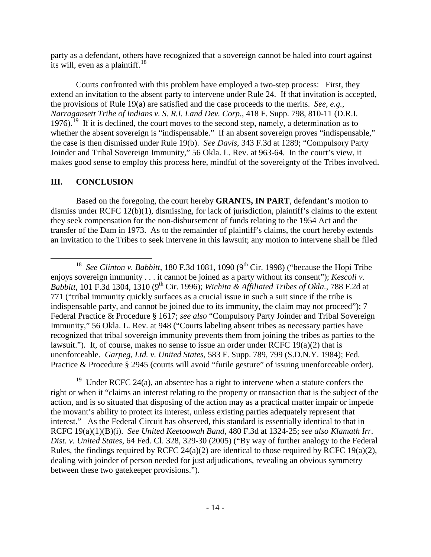party as a defendant, others have recognized that a sovereign cannot be haled into court against its will, even as a plaintiff.<sup>[18](#page-13-0)</sup>

Courts confronted with this problem have employed a two-step process: First, they extend an invitation to the absent party to intervene under Rule 24. If that invitation is accepted, the provisions of Rule 19(a) are satisfied and the case proceeds to the merits. *See*, *e.g.*, *Narragansett Tribe of Indians v. S. R.I. Land Dev. Corp.*, 418 F. Supp. 798, 810-11 (D.R.I. 1976).<sup>19</sup> If it is declined, the court moves to the second step, namely, a determination as to whether the absent sovereign is "indispensable." If an absent sovereign proves "indispensable," the case is then dismissed under Rule 19(b). *See Davis*, 343 F.3d at 1289; "Compulsory Party Joinder and Tribal Sovereign Immunity," 56 Okla. L. Rev. at 963-64. In the court's view, it makes good sense to employ this process here, mindful of the sovereignty of the Tribes involved.

#### **III. CONCLUSION**

Based on the foregoing, the court hereby **GRANTS, IN PART**, defendant's motion to dismiss under RCFC 12(b)(1), dismissing, for lack of jurisdiction, plaintiff's claims to the extent they seek compensation for the non-disbursement of funds relating to the 1954 Act and the transfer of the Dam in 1973. As to the remainder of plaintiff's claims, the court hereby extends an invitation to the Tribes to seek intervene in this lawsuit; any motion to intervene shall be filed

<span id="page-13-1"></span><sup>19</sup> Under RCFC 24(a), an absentee has a right to intervene when a statute confers the right or when it "claims an interest relating to the property or transaction that is the subject of the action, and is so situated that disposing of the action may as a practical matter impair or impede the movant's ability to protect its interest, unless existing parties adequately represent that interest." As the Federal Circuit has observed, this standard is essentially identical to that in RCFC 19(a)(1)(B)(i). *See United Keetoowah Band*, 480 F.3d at 1324-25; *see also Klamath Irr. Dist. v. United States*, 64 Fed. Cl. 328, 329-30 (2005) ("By way of further analogy to the Federal Rules, the findings required by RCFC 24(a)(2) are identical to those required by RCFC 19(a)(2), dealing with joinder of person needed for just adjudications, revealing an obvious symmetry between these two gatekeeper provisions.").

<span id="page-13-0"></span><sup>&</sup>lt;sup>18</sup> *See Clinton v. Babbitt*, 180 F.3d 1081, 1090 (9<sup>th</sup> Cir. 1998) ("because the Hopi Tribe" enjoys sovereign immunity . . . it cannot be joined as a party without its consent"); *Kescoli v. Babbitt*, 101 F.3d 1304, 1310 (9th Cir. 1996); *Wichita & Affiliated Tribes of Okla.*, 788 F.2d at 771 ("tribal immunity quickly surfaces as a crucial issue in such a suit since if the tribe is indispensable party, and cannot be joined due to its immunity, the claim may not proceed"); 7 Federal Practice & Procedure § 1617; *see also* "Compulsory Party Joinder and Tribal Sovereign Immunity," 56 Okla. L. Rev. at 948 ("Courts labeling absent tribes as necessary parties have recognized that tribal sovereign immunity prevents them from joining the tribes as parties to the lawsuit.")*.* It, of course, makes no sense to issue an order under RCFC 19(a)(2) that is unenforceable. *Garpeg, Ltd. v. United States*, 583 F. Supp. 789, 799 (S.D.N.Y. 1984); Fed. Practice & Procedure § 2945 (courts will avoid "futile gesture" of issuing unenforceable order).